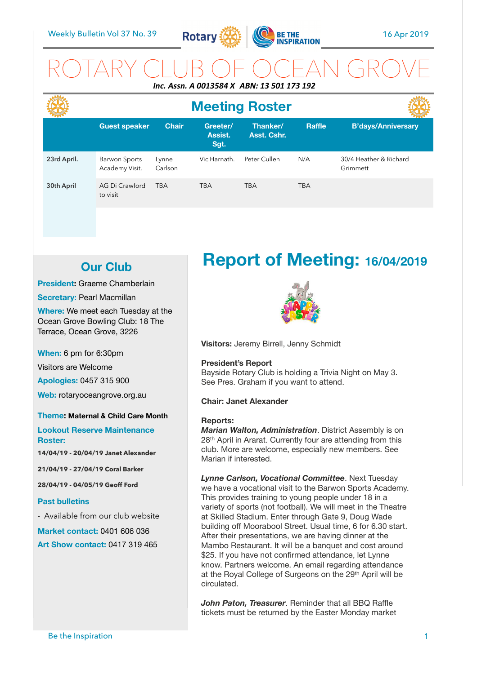

## ROTARY CLUB OF OCEAN GROVE *Inc. Assn. A 0013584 X ABN: 13 501 173 192*

|             | <b>Meeting Roster</b>           |                  |                             |                         |               |                                    |
|-------------|---------------------------------|------------------|-----------------------------|-------------------------|---------------|------------------------------------|
|             | <b>Guest speaker</b>            | <b>Chair</b>     | Greeter/<br>Assist.<br>Sgt. | Thanker/<br>Asst. Cshr. | <b>Raffle</b> | <b>B'days/Anniversary</b>          |
| 23rd April. | Barwon Sports<br>Academy Visit. | Lynne<br>Carlson | Vic Harnath.                | Peter Cullen            | N/A           | 30/4 Heather & Richard<br>Grimmett |
| 30th April  | AG Di Crawford<br>to visit      | <b>TBA</b>       | <b>TBA</b>                  | <b>TBA</b>              | <b>TBA</b>    |                                    |

## **Our Club**

**President:** Graeme Chamberlain

**Secretary: Pearl Macmillan** 

**Where:** We meet each Tuesday at the Ocean Grove Bowling Club: 18 The Terrace, Ocean Grove, 3226

**When:** 6 pm for 6:30pm

Visitors are Welcome

**Apologies:** 0457 315 900

**Web:** rotaryoceangrove.org.au

#### **Theme: Maternal & Child Care Month**

**Lookout Reserve Maintenance Roster:** 

**14/04/19 - 20/04/19 Janet Alexander** 

**21/04/19 - 27/04/19 Coral Barker** 

**28/04/19 - 04/05/19 Geoff Ford** 

#### **Past bulletins**

- Available from our club website

**Market contact:** 0401 606 036 **Art Show contact:** 0417 319 465

# **Report of Meeting: 16/04/2019**



**Visitors:** Jeremy Birrell, Jenny Schmidt

#### **President's Report**

Bayside Rotary Club is holding a Trivia Night on May 3. See Pres. Graham if you want to attend.

#### **Chair: Janet Alexander**

#### **Reports:**

*Marian Walton, Administration*. District Assembly is on 28th April in Ararat. Currently four are attending from this club. More are welcome, especially new members. See Marian if interested.

*Lynne Carlson, Vocational Committee*. Next Tuesday we have a vocational visit to the Barwon Sports Academy. This provides training to young people under 18 in a variety of sports (not football). We will meet in the Theatre at Skilled Stadium. Enter through Gate 9, Doug Wade building off Moorabool Street. Usual time, 6 for 6.30 start. After their presentations, we are having dinner at the Mambo Restaurant. It will be a banquet and cost around \$25. If you have not confirmed attendance, let Lynne know. Partners welcome. An email regarding attendance at the Royal College of Surgeons on the 29th April will be circulated.

*John Paton, Treasurer*. Reminder that all BBQ Raffle tickets must be returned by the Easter Monday market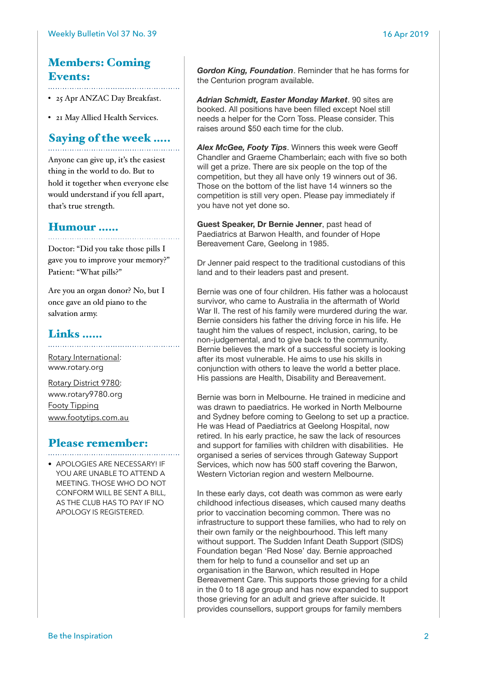## Members: Coming Events:

• 25 Apr ANZAC Day Breakfast.

• 21 May Allied Health Services.

## Saying of the week …..

Anyone can give up, it's the easiest thing in the world to do. But to hold it together when everyone else would understand if you fell apart, that's true strength.

### Humour ……

Doctor: "Did you take those pills I gave you to improve your memory?" Patient: "What pills?"

Are you an organ donor? No, but I once gave an old piano to the salvation army.

### Links ……

[Rotary International:](https://www.rotary.org) [www.rotary.org](http://www.rotary.org) 

[Rotary District 9780:](http://rotary9780.org) [www.rotary9780.org](http://www.rotary9780.org)  [Footy Tipping](http://www.footytips.com.au) [www.footytips.com.au](http://www.footytips.com.au)

## Please remember:

• APOLOGIES ARE NECESSARY! IF YOU ARE UNABLE TO ATTEND A MEETING. THOSE WHO DO NOT CONFORM WILL BE SENT A BILL, AS THE CLUB HAS TO PAY IF NO APOLOGY IS REGISTERED.

*Gordon King, Foundation*. Reminder that he has forms for the Centurion program available.

*Adrian Schmidt, Easter Monday Market*. 90 sites are booked. All positions have been filled except Noel still needs a helper for the Corn Toss. Please consider. This raises around \$50 each time for the club.

*Alex McGee, Footy Tips*. Winners this week were Geoff Chandler and Graeme Chamberlain; each with five so both will get a prize. There are six people on the top of the competition, but they all have only 19 winners out of 36. Those on the bottom of the list have 14 winners so the competition is still very open. Please pay immediately if you have not yet done so.

**Guest Speaker, Dr Bernie Jenner**, past head of Paediatrics at Barwon Health, and founder of Hope Bereavement Care, Geelong in 1985.

Dr Jenner paid respect to the traditional custodians of this land and to their leaders past and present.

Bernie was one of four children. His father was a holocaust survivor, who came to Australia in the aftermath of World War II. The rest of his family were murdered during the war. Bernie considers his father the driving force in his life. He taught him the values of respect, inclusion, caring, to be non-judgemental, and to give back to the community. Bernie believes the mark of a successful society is looking after its most vulnerable. He aims to use his skills in conjunction with others to leave the world a better place. His passions are Health, Disability and Bereavement.

Bernie was born in Melbourne. He trained in medicine and was drawn to paediatrics. He worked in North Melbourne and Sydney before coming to Geelong to set up a practice. He was Head of Paediatrics at Geelong Hospital, now retired. In his early practice, he saw the lack of resources and support for families with children with disabilities. He organised a series of services through Gateway Support Services, which now has 500 staff covering the Barwon, Western Victorian region and western Melbourne.

In these early days, cot death was common as were early childhood infectious diseases, which caused many deaths prior to vaccination becoming common. There was no infrastructure to support these families, who had to rely on their own family or the neighbourhood. This left many without support. The Sudden Infant Death Support (SIDS) Foundation began 'Red Nose' day. Bernie approached them for help to fund a counsellor and set up an organisation in the Barwon, which resulted in Hope Bereavement Care. This supports those grieving for a child in the 0 to 18 age group and has now expanded to support those grieving for an adult and grieve after suicide. It provides counsellors, support groups for family members